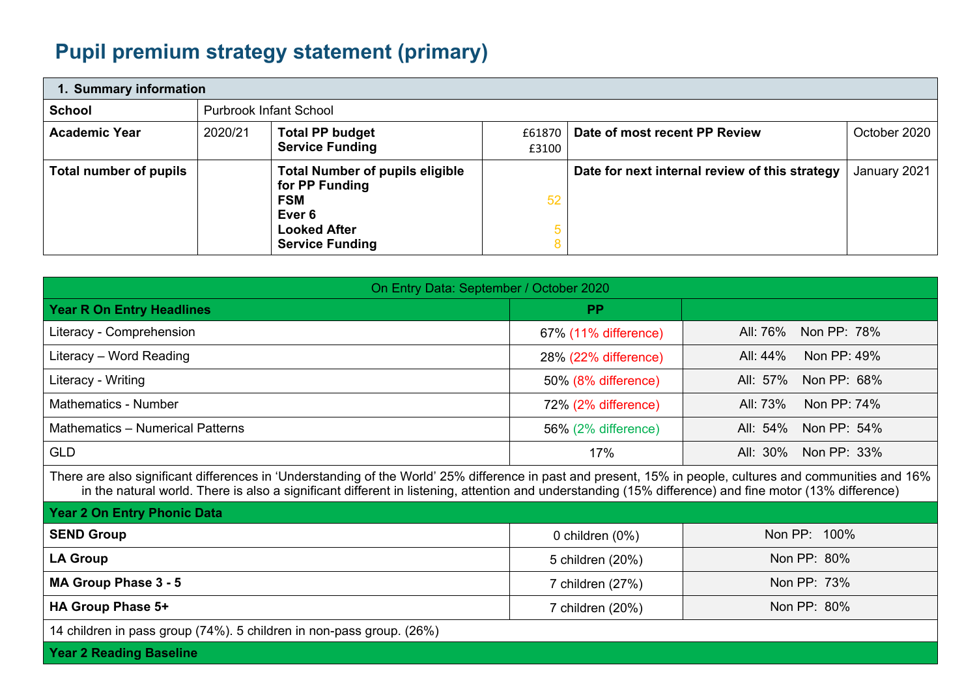## **Pupil premium strategy statement (primary)**

| 1. Summary information |         |                                                                                                                                   |                   |                                                |              |  |
|------------------------|---------|-----------------------------------------------------------------------------------------------------------------------------------|-------------------|------------------------------------------------|--------------|--|
| <b>School</b>          |         | <b>Purbrook Infant School</b>                                                                                                     |                   |                                                |              |  |
| <b>Academic Year</b>   | 2020/21 | <b>Total PP budget</b><br><b>Service Funding</b>                                                                                  | £61870 L<br>£3100 | Date of most recent PP Review                  | October 2020 |  |
| Total number of pupils |         | <b>Total Number of pupils eligible</b><br>for PP Funding<br><b>FSM</b><br>Ever 6<br><b>Looked After</b><br><b>Service Funding</b> | 52                | Date for next internal review of this strategy | January 2021 |  |

| On Entry Data: September / October 2020                                                                                                                                                                                                                                                                              |                                 |                         |  |  |  |
|----------------------------------------------------------------------------------------------------------------------------------------------------------------------------------------------------------------------------------------------------------------------------------------------------------------------|---------------------------------|-------------------------|--|--|--|
| <b>Year R On Entry Headlines</b>                                                                                                                                                                                                                                                                                     | <b>PP</b>                       |                         |  |  |  |
| Literacy - Comprehension                                                                                                                                                                                                                                                                                             | 67% (11% difference)            | Non PP: 78%<br>All: 76% |  |  |  |
| Literacy - Word Reading                                                                                                                                                                                                                                                                                              | 28% (22% difference)            | Non PP: 49%<br>All: 44% |  |  |  |
| Literacy - Writing                                                                                                                                                                                                                                                                                                   | 50% (8% difference)             | All: 57%<br>Non PP: 68% |  |  |  |
| <b>Mathematics - Number</b>                                                                                                                                                                                                                                                                                          | 72% (2% difference)             | All: 73%<br>Non PP: 74% |  |  |  |
| <b>Mathematics - Numerical Patterns</b>                                                                                                                                                                                                                                                                              | 56% (2% difference)             | Non PP: 54%<br>All: 54% |  |  |  |
| <b>GLD</b>                                                                                                                                                                                                                                                                                                           | 17%                             | All: 30%<br>Non PP: 33% |  |  |  |
| There are also significant differences in 'Understanding of the World' 25% difference in past and present, 15% in people, cultures and communities and 16%<br>in the natural world. There is also a significant different in listening, attention and understanding (15% difference) and fine motor (13% difference) |                                 |                         |  |  |  |
| <b>Year 2 On Entry Phonic Data</b>                                                                                                                                                                                                                                                                                   |                                 |                         |  |  |  |
| <b>SEND Group</b>                                                                                                                                                                                                                                                                                                    | 0 children (0%)                 | Non PP: 100%            |  |  |  |
| <b>LA Group</b>                                                                                                                                                                                                                                                                                                      | 5 children (20%)                | Non PP: 80%             |  |  |  |
| MA Group Phase 3 - 5                                                                                                                                                                                                                                                                                                 | 7 children (27%)                | Non PP: 73%             |  |  |  |
| HA Group Phase 5+                                                                                                                                                                                                                                                                                                    | Non PP: 80%<br>7 children (20%) |                         |  |  |  |
| 14 children in pass group (74%). 5 children in non-pass group. (26%)                                                                                                                                                                                                                                                 |                                 |                         |  |  |  |
| <b>Year 2 Reading Baseline</b>                                                                                                                                                                                                                                                                                       |                                 |                         |  |  |  |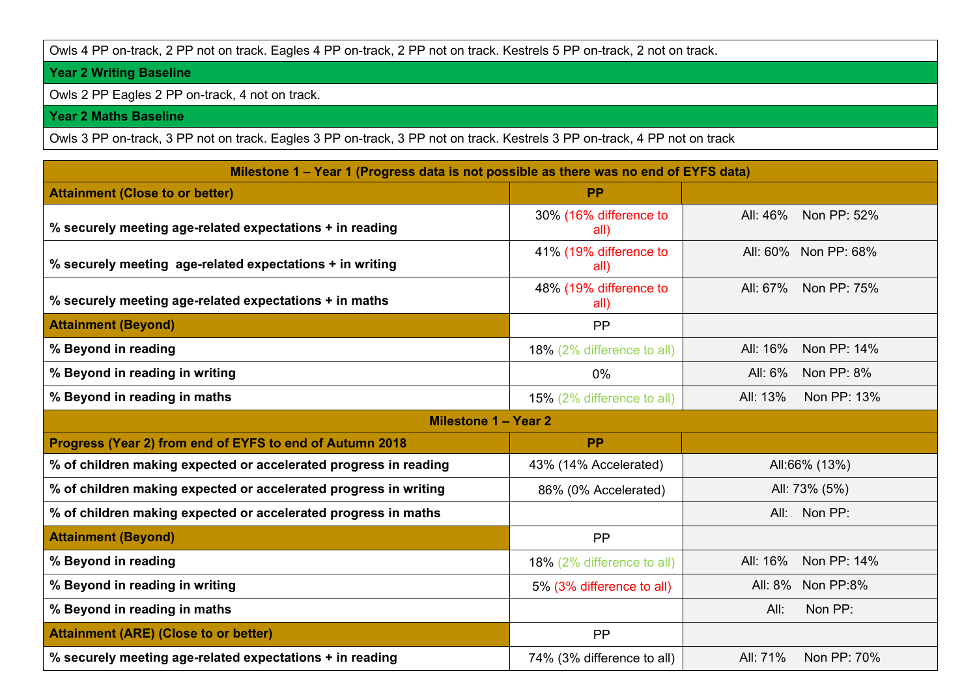## Owls 4 PP on-track, 2 PP not on track. Eagles 4 PP on-track, 2 PP not on track. Kestrels 5 PP on-track, 2 not on track.

## **Year 2 Writing Baseline**

Owls 2 PP Eagles 2 PP on-track, 4 not on track.

## **Year 2 Maths Baseline**

Owls 3 PP on-track, 3 PP not on track. Eagles 3 PP on-track, 3 PP not on track. Kestrels 3 PP on-track, 4 PP not on track

| Milestone 1 – Year 1 (Progress data is not possible as there was no end of EYFS data) |                                |                         |  |  |  |  |
|---------------------------------------------------------------------------------------|--------------------------------|-------------------------|--|--|--|--|
| <b>Attainment (Close to or better)</b>                                                | <b>PP</b>                      |                         |  |  |  |  |
| % securely meeting age-related expectations + in reading                              | 30% (16% difference to<br>all) | All: 46%<br>Non PP: 52% |  |  |  |  |
| % securely meeting age-related expectations + in writing                              | 41% (19% difference to<br>all) | All: 60% Non PP: 68%    |  |  |  |  |
| % securely meeting age-related expectations + in maths                                | 48% (19% difference to<br>all) | Non PP: 75%<br>All: 67% |  |  |  |  |
| <b>Attainment (Beyond)</b>                                                            | <b>PP</b>                      |                         |  |  |  |  |
| % Beyond in reading                                                                   | 18% (2% difference to all)     | All: 16%<br>Non PP: 14% |  |  |  |  |
| % Beyond in reading in writing                                                        | 0%                             | Non PP: 8%<br>All: 6%   |  |  |  |  |
| % Beyond in reading in maths                                                          | 15% (2% difference to all)     | All: 13%<br>Non PP: 13% |  |  |  |  |
| Milestone 1 - Year 2                                                                  |                                |                         |  |  |  |  |
| Progress (Year 2) from end of EYFS to end of Autumn 2018                              | <b>PP</b>                      |                         |  |  |  |  |
| % of children making expected or accelerated progress in reading                      | 43% (14% Accelerated)          | All:66% (13%)           |  |  |  |  |
| % of children making expected or accelerated progress in writing                      | 86% (0% Accelerated)           | All: 73% (5%)           |  |  |  |  |
| % of children making expected or accelerated progress in maths                        |                                | All: Non PP:            |  |  |  |  |
| <b>Attainment (Beyond)</b>                                                            | <b>PP</b>                      |                         |  |  |  |  |
| % Beyond in reading                                                                   | 18% (2% difference to all)     | All: 16%<br>Non PP: 14% |  |  |  |  |
| % Beyond in reading in writing                                                        | 5% (3% difference to all)      | All: 8%<br>Non PP:8%    |  |  |  |  |
| % Beyond in reading in maths                                                          |                                | Non PP:<br>All:         |  |  |  |  |
| <b>Attainment (ARE) (Close to or better)</b>                                          | <b>PP</b>                      |                         |  |  |  |  |
| % securely meeting age-related expectations + in reading                              | 74% (3% difference to all)     | All: 71%<br>Non PP: 70% |  |  |  |  |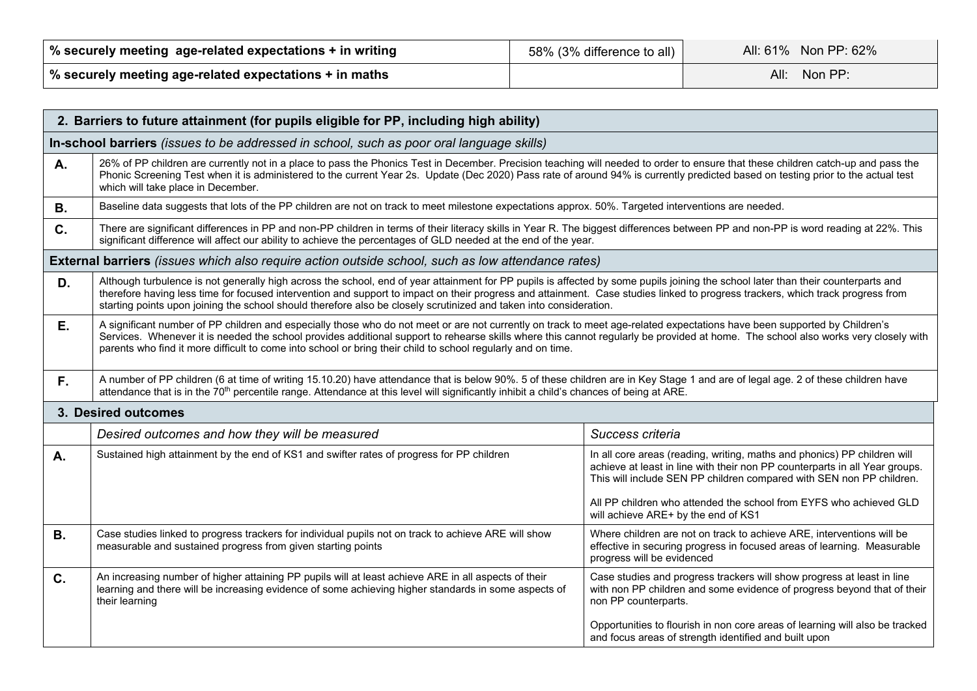| │ % securely meeting age-related expectations + in writing | 58% (3% difference to all) | All: 61% Non PP: 62% |
|------------------------------------------------------------|----------------------------|----------------------|
| % securely meeting age-related expectations + in maths     |                            | Non $PP$ :<br>All: I |

|                     | 2. Barriers to future attainment (for pupils eligible for PP, including high ability)                                                                                                                                                                                                                                                                                                                                                                                                      |                                                                                                                                                                                                                                                                                                                                              |  |  |  |  |
|---------------------|--------------------------------------------------------------------------------------------------------------------------------------------------------------------------------------------------------------------------------------------------------------------------------------------------------------------------------------------------------------------------------------------------------------------------------------------------------------------------------------------|----------------------------------------------------------------------------------------------------------------------------------------------------------------------------------------------------------------------------------------------------------------------------------------------------------------------------------------------|--|--|--|--|
|                     | In-school barriers (issues to be addressed in school, such as poor oral language skills)                                                                                                                                                                                                                                                                                                                                                                                                   |                                                                                                                                                                                                                                                                                                                                              |  |  |  |  |
| Α.                  | 26% of PP children are currently not in a place to pass the Phonics Test in December. Precision teaching will needed to order to ensure that these children catch-up and pass the<br>Phonic Screening Test when it is administered to the current Year 2s. Update (Dec 2020) Pass rate of around 94% is currently predicted based on testing prior to the actual test<br>which will take place in December.                                                                                |                                                                                                                                                                                                                                                                                                                                              |  |  |  |  |
| <b>B.</b>           | Baseline data suggests that lots of the PP children are not on track to meet milestone expectations approx. 50%. Targeted interventions are needed.                                                                                                                                                                                                                                                                                                                                        |                                                                                                                                                                                                                                                                                                                                              |  |  |  |  |
| C.                  | There are significant differences in PP and non-PP children in terms of their literacy skills in Year R. The biggest differences between PP and non-PP is word reading at 22%. This<br>significant difference will affect our ability to achieve the percentages of GLD needed at the end of the year.                                                                                                                                                                                     |                                                                                                                                                                                                                                                                                                                                              |  |  |  |  |
|                     | External barriers (issues which also require action outside school, such as low attendance rates)                                                                                                                                                                                                                                                                                                                                                                                          |                                                                                                                                                                                                                                                                                                                                              |  |  |  |  |
| D.                  | Although turbulence is not generally high across the school, end of year attainment for PP pupils is affected by some pupils joining the school later than their counterparts and<br>therefore having less time for focused intervention and support to impact on their progress and attainment. Case studies linked to progress trackers, which track progress from<br>starting points upon joining the school should therefore also be closely scrutinized and taken into consideration. |                                                                                                                                                                                                                                                                                                                                              |  |  |  |  |
| E.                  | A significant number of PP children and especially those who do not meet or are not currently on track to meet age-related expectations have been supported by Children's<br>Services. Whenever it is needed the school provides additional support to rehearse skills where this cannot regularly be provided at home. The school also works very closely with<br>parents who find it more difficult to come into school or bring their child to school regularly and on time.            |                                                                                                                                                                                                                                                                                                                                              |  |  |  |  |
| F.                  | A number of PP children (6 at time of writing 15.10.20) have attendance that is below 90%. 5 of these children are in Key Stage 1 and are of legal age. 2 of these children have<br>attendance that is in the 70 <sup>th</sup> percentile range. Attendance at this level will significantly inhibit a child's chances of being at ARE.                                                                                                                                                    |                                                                                                                                                                                                                                                                                                                                              |  |  |  |  |
| 3. Desired outcomes |                                                                                                                                                                                                                                                                                                                                                                                                                                                                                            |                                                                                                                                                                                                                                                                                                                                              |  |  |  |  |
|                     | Desired outcomes and how they will be measured                                                                                                                                                                                                                                                                                                                                                                                                                                             | Success criteria                                                                                                                                                                                                                                                                                                                             |  |  |  |  |
| <b>A.</b>           | Sustained high attainment by the end of KS1 and swifter rates of progress for PP children                                                                                                                                                                                                                                                                                                                                                                                                  | In all core areas (reading, writing, maths and phonics) PP children will<br>achieve at least in line with their non PP counterparts in all Year groups.<br>This will include SEN PP children compared with SEN non PP children.<br>All PP children who attended the school from EYFS who achieved GLD<br>will achieve ARE+ by the end of KS1 |  |  |  |  |
| <b>B.</b>           | Case studies linked to progress trackers for individual pupils not on track to achieve ARE will show<br>measurable and sustained progress from given starting points                                                                                                                                                                                                                                                                                                                       | Where children are not on track to achieve ARE, interventions will be<br>effective in securing progress in focused areas of learning. Measurable<br>progress will be evidenced                                                                                                                                                               |  |  |  |  |
| C.                  | An increasing number of higher attaining PP pupils will at least achieve ARE in all aspects of their<br>learning and there will be increasing evidence of some achieving higher standards in some aspects of<br>their learning                                                                                                                                                                                                                                                             | Case studies and progress trackers will show progress at least in line<br>with non PP children and some evidence of progress beyond that of their<br>non PP counterparts.                                                                                                                                                                    |  |  |  |  |
|                     |                                                                                                                                                                                                                                                                                                                                                                                                                                                                                            | Opportunities to flourish in non core areas of learning will also be tracked<br>and focus areas of strength identified and built upon                                                                                                                                                                                                        |  |  |  |  |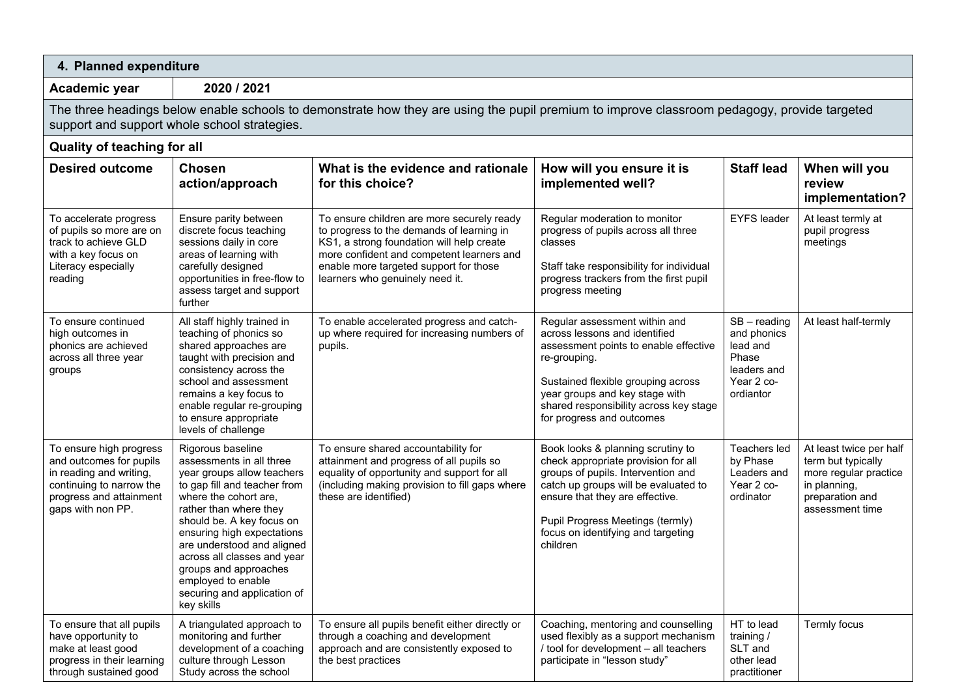| 4. Planned expenditure                                                                                                                                                                      |                                                                                                                                                                                                                                                                                                                                                                                    |                                                                                                                                                                                                                                                                |                                                                                                                                                                                                                                                                                 |                                                                                              |                                                                                                                              |  |
|---------------------------------------------------------------------------------------------------------------------------------------------------------------------------------------------|------------------------------------------------------------------------------------------------------------------------------------------------------------------------------------------------------------------------------------------------------------------------------------------------------------------------------------------------------------------------------------|----------------------------------------------------------------------------------------------------------------------------------------------------------------------------------------------------------------------------------------------------------------|---------------------------------------------------------------------------------------------------------------------------------------------------------------------------------------------------------------------------------------------------------------------------------|----------------------------------------------------------------------------------------------|------------------------------------------------------------------------------------------------------------------------------|--|
| 2020 / 2021<br>Academic year                                                                                                                                                                |                                                                                                                                                                                                                                                                                                                                                                                    |                                                                                                                                                                                                                                                                |                                                                                                                                                                                                                                                                                 |                                                                                              |                                                                                                                              |  |
| The three headings below enable schools to demonstrate how they are using the pupil premium to improve classroom pedagogy, provide targeted<br>support and support whole school strategies. |                                                                                                                                                                                                                                                                                                                                                                                    |                                                                                                                                                                                                                                                                |                                                                                                                                                                                                                                                                                 |                                                                                              |                                                                                                                              |  |
| Quality of teaching for all                                                                                                                                                                 |                                                                                                                                                                                                                                                                                                                                                                                    |                                                                                                                                                                                                                                                                |                                                                                                                                                                                                                                                                                 |                                                                                              |                                                                                                                              |  |
| <b>Desired outcome</b>                                                                                                                                                                      | <b>Chosen</b><br>action/approach                                                                                                                                                                                                                                                                                                                                                   | What is the evidence and rationale<br>for this choice?                                                                                                                                                                                                         | How will you ensure it is<br>implemented well?                                                                                                                                                                                                                                  | <b>Staff lead</b>                                                                            | When will you<br>review<br>implementation?                                                                                   |  |
| To accelerate progress<br>of pupils so more are on<br>track to achieve GLD<br>with a key focus on<br>Literacy especially<br>reading                                                         | Ensure parity between<br>discrete focus teaching<br>sessions daily in core<br>areas of learning with<br>carefully designed<br>opportunities in free-flow to<br>assess target and support<br>further                                                                                                                                                                                | To ensure children are more securely ready<br>to progress to the demands of learning in<br>KS1, a strong foundation will help create<br>more confident and competent learners and<br>enable more targeted support for those<br>learners who genuinely need it. | Regular moderation to monitor<br>progress of pupils across all three<br>classes<br>Staff take responsibility for individual<br>progress trackers from the first pupil<br>progress meeting                                                                                       | <b>EYFS leader</b>                                                                           | At least termly at<br>pupil progress<br>meetings                                                                             |  |
| To ensure continued<br>high outcomes in<br>phonics are achieved<br>across all three year<br>groups                                                                                          | All staff highly trained in<br>teaching of phonics so<br>shared approaches are<br>taught with precision and<br>consistency across the<br>school and assessment<br>remains a key focus to<br>enable regular re-grouping<br>to ensure appropriate<br>levels of challenge                                                                                                             | To enable accelerated progress and catch-<br>up where required for increasing numbers of<br>pupils.                                                                                                                                                            | Regular assessment within and<br>across lessons and identified<br>assessment points to enable effective<br>re-grouping.<br>Sustained flexible grouping across<br>year groups and key stage with<br>shared responsibility across key stage<br>for progress and outcomes          | $SB - reading$<br>and phonics<br>lead and<br>Phase<br>leaders and<br>Year 2 co-<br>ordiantor | At least half-termly                                                                                                         |  |
| To ensure high progress<br>and outcomes for pupils<br>in reading and writing,<br>continuing to narrow the<br>progress and attainment<br>gaps with non PP.                                   | Rigorous baseline<br>assessments in all three<br>year groups allow teachers<br>to gap fill and teacher from<br>where the cohort are,<br>rather than where they<br>should be. A key focus on<br>ensuring high expectations<br>are understood and aligned<br>across all classes and year<br>groups and approaches<br>employed to enable<br>securing and application of<br>key skills | To ensure shared accountability for<br>attainment and progress of all pupils so<br>equality of opportunity and support for all<br>(including making provision to fill gaps where<br>these are identified)                                                      | Book looks & planning scrutiny to<br>check appropriate provision for all<br>groups of pupils. Intervention and<br>catch up groups will be evaluated to<br>ensure that they are effective.<br>Pupil Progress Meetings (termly)<br>focus on identifying and targeting<br>children | Teachers led<br>by Phase<br>Leaders and<br>Year 2 co-<br>ordinator                           | At least twice per half<br>term but typically<br>more regular practice<br>in planning,<br>preparation and<br>assessment time |  |
| To ensure that all pupils<br>have opportunity to<br>make at least good<br>progress in their learning<br>through sustained good                                                              | A triangulated approach to<br>monitoring and further<br>development of a coaching<br>culture through Lesson<br>Study across the school                                                                                                                                                                                                                                             | To ensure all pupils benefit either directly or<br>through a coaching and development<br>approach and are consistently exposed to<br>the best practices                                                                                                        | Coaching, mentoring and counselling<br>used flexibly as a support mechanism<br>/ tool for development - all teachers<br>participate in "lesson study"                                                                                                                           | HT to lead<br>training /<br>SLT and<br>other lead<br>practitioner                            | Termly focus                                                                                                                 |  |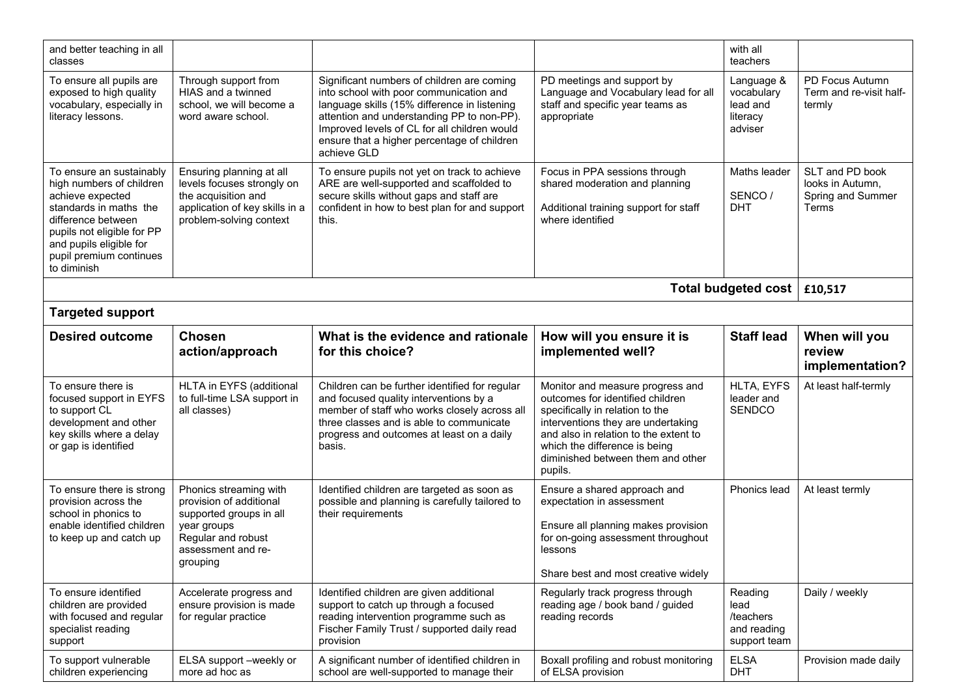| and better teaching in all<br>classes                                                                                                                                                                                       |                                                                                                                                                     |                                                                                                                                                                                                                                                                                                   |                                                                                                                                                                                                                                                                         | with all<br>teachers                                        |                                                                   |  |
|-----------------------------------------------------------------------------------------------------------------------------------------------------------------------------------------------------------------------------|-----------------------------------------------------------------------------------------------------------------------------------------------------|---------------------------------------------------------------------------------------------------------------------------------------------------------------------------------------------------------------------------------------------------------------------------------------------------|-------------------------------------------------------------------------------------------------------------------------------------------------------------------------------------------------------------------------------------------------------------------------|-------------------------------------------------------------|-------------------------------------------------------------------|--|
| To ensure all pupils are<br>exposed to high quality<br>vocabulary, especially in<br>literacy lessons.                                                                                                                       | Through support from<br>HIAS and a twinned<br>school, we will become a<br>word aware school.                                                        | Significant numbers of children are coming<br>into school with poor communication and<br>language skills (15% difference in listening<br>attention and understanding PP to non-PP).<br>Improved levels of CL for all children would<br>ensure that a higher percentage of children<br>achieve GLD | PD meetings and support by<br>Language and Vocabulary lead for all<br>staff and specific year teams as<br>appropriate                                                                                                                                                   | Language &<br>vocabulary<br>lead and<br>literacy<br>adviser | PD Focus Autumn<br>Term and re-visit half-<br>termly              |  |
| To ensure an sustainably<br>high numbers of children<br>achieve expected<br>standards in maths the<br>difference between<br>pupils not eligible for PP<br>and pupils eligible for<br>pupil premium continues<br>to diminish | Ensuring planning at all<br>levels focuses strongly on<br>the acquisition and<br>application of key skills in a<br>problem-solving context          | To ensure pupils not yet on track to achieve<br>ARE are well-supported and scaffolded to<br>secure skills without gaps and staff are<br>confident in how to best plan for and support<br>this.                                                                                                    | Focus in PPA sessions through<br>shared moderation and planning<br>Additional training support for staff<br>where identified                                                                                                                                            | Maths leader<br>SENCO/<br><b>DHT</b>                        | SLT and PD book<br>looks in Autumn,<br>Spring and Summer<br>Terms |  |
| <b>Total budgeted cost</b><br>£10,517                                                                                                                                                                                       |                                                                                                                                                     |                                                                                                                                                                                                                                                                                                   |                                                                                                                                                                                                                                                                         |                                                             |                                                                   |  |
| <b>Targeted support</b>                                                                                                                                                                                                     |                                                                                                                                                     |                                                                                                                                                                                                                                                                                                   |                                                                                                                                                                                                                                                                         |                                                             |                                                                   |  |
| <b>Desired outcome</b>                                                                                                                                                                                                      | Chosen<br>action/approach                                                                                                                           | What is the evidence and rationale<br>for this choice?                                                                                                                                                                                                                                            | How will you ensure it is<br>implemented well?                                                                                                                                                                                                                          | <b>Staff lead</b>                                           | When will you<br>review<br>implementation?                        |  |
| To ensure there is<br>focused support in EYFS<br>to support CL<br>development and other<br>key skills where a delay<br>or gap is identified                                                                                 | HLTA in EYFS (additional<br>to full-time LSA support in<br>all classes)                                                                             | Children can be further identified for regular<br>and focused quality interventions by a<br>member of staff who works closely across all<br>three classes and is able to communicate<br>progress and outcomes at least on a daily<br>basis.                                                       | Monitor and measure progress and<br>outcomes for identified children<br>specifically in relation to the<br>interventions they are undertaking<br>and also in relation to the extent to<br>which the difference is being<br>diminished between them and other<br>pupils. | HLTA, EYFS<br>leader and<br>SENDCO                          | At least half-termly                                              |  |
| To ensure there is strong<br>provision across the<br>school in phonics to<br>enable identified children<br>to keep up and catch up                                                                                          | Phonics streaming with<br>provision of additional<br>supported groups in all<br>year groups<br>Regular and robust<br>assessment and re-<br>grouping | Identified children are targeted as soon as<br>possible and planning is carefully tailored to<br>their requirements                                                                                                                                                                               | Ensure a shared approach and<br>expectation in assessment<br>Ensure all planning makes provision<br>for on-going assessment throughout<br>lessons<br>Share best and most creative widely                                                                                | Phonics lead                                                | At least termly                                                   |  |
| To ensure identified<br>children are provided<br>with focused and regular<br>specialist reading<br>support                                                                                                                  | Accelerate progress and<br>ensure provision is made<br>for regular practice                                                                         | Identified children are given additional<br>support to catch up through a focused<br>reading intervention programme such as<br>Fischer Family Trust / supported daily read<br>provision                                                                                                           | Regularly track progress through<br>reading age / book band / guided<br>reading records                                                                                                                                                                                 | Reading<br>lead<br>/teachers<br>and reading<br>support team | Daily / weekly                                                    |  |
| To support vulnerable<br>children experiencing                                                                                                                                                                              | ELSA support -weekly or<br>more ad hoc as                                                                                                           | A significant number of identified children in<br>school are well-supported to manage their                                                                                                                                                                                                       | Boxall profiling and robust monitoring<br>of ELSA provision                                                                                                                                                                                                             | <b>ELSA</b><br>DHT                                          | Provision made daily                                              |  |